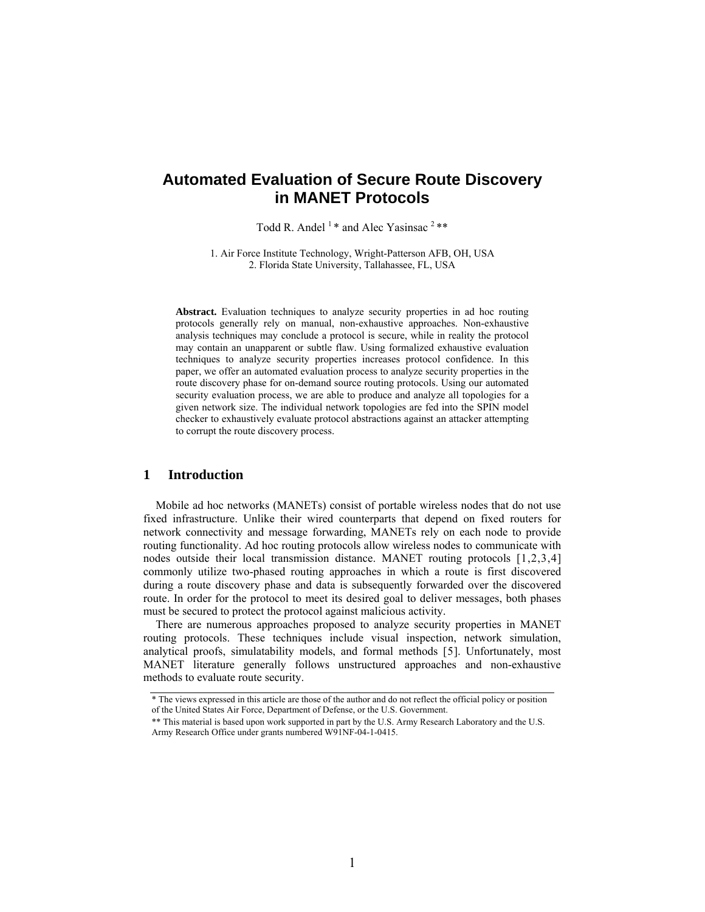# **Automated Evaluation of Secure Route Discovery in MANET Protocols**

Todd R. Andel  $1*$  and Alec Yasinsac  $2**$ 

1. Air Force Institute Technology, Wright-Patterson AFB, OH, USA 2. Florida State University, Tallahassee, FL, USA

**Abstract.** Evaluation techniques to analyze security properties in ad hoc routing protocols generally rely on manual, non-exhaustive approaches. Non-exhaustive analysis techniques may conclude a protocol is secure, while in reality the protocol may contain an unapparent or subtle flaw. Using formalized exhaustive evaluation techniques to analyze security properties increases protocol confidence. In this paper, we offer an automated evaluation process to analyze security properties in the route discovery phase for on-demand source routing protocols. Using our automated security evaluation process, we are able to produce and analyze all topologies for a given network size. The individual network topologies are fed into the SPIN model checker to exhaustively evaluate protocol abstractions against an attacker attempting to corrupt the route discovery process.

# **1 Introduction**

Mobile ad hoc networks (MANETs) consist of portable wireless nodes that do not use fixed infrastructure. Unlike their wired counterparts that depend on fixed routers for network connectivity and message forwarding, MANETs rely on each node to provide routing functionality. Ad hoc routing protocols allow wireless nodes to communicate with nodes outside their local transmission distance. MANET routing protocols [[1](#page-15-0),[2](#page-15-1),[3](#page-16-0),[4](#page-16-0)] commonly utilize two-phased routing approaches in which a route is first discovered during a route discovery phase and data is subsequently forwarded over the discovered route. In order for the protocol to meet its desired goal to deliver messages, both phases must be secured to protect the protocol against malicious activity.

<span id="page-0-0"></span>There are numerous approaches proposed to analyze security properties in MANET routing protocols. These techniques include visual inspection, network simulation, analytical proofs, simulatability models, and formal methods [[5](#page-16-0)]. Unfortunately, most MANET literature generally follows unstructured approaches and non-exhaustive methods to evaluate route security.

<sup>\*</sup> The views expressed in this article are those of the author and do not reflect the official policy or position of the United States Air Force, Department of Defense, or the U.S. Government.

<sup>\*\*</sup> This material is based upon work supported in part by the U.S. Army Research Laboratory and the U.S. Army Research Office under grants numbered W91NF-04-1-0415.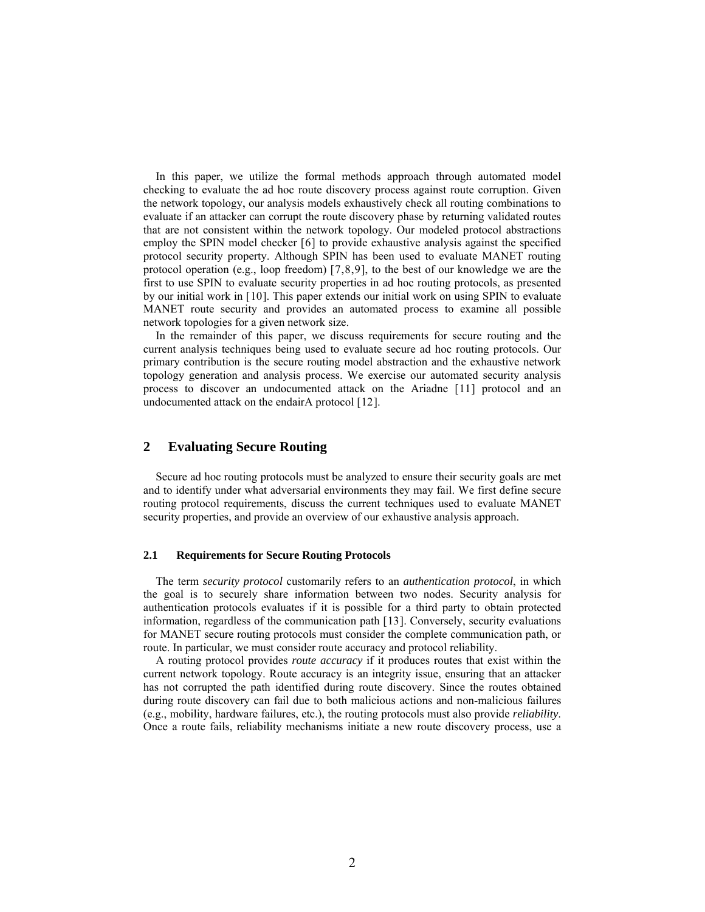<span id="page-1-0"></span>In this paper, we utilize the formal methods approach through automated model checking to evaluate the ad hoc route discovery process against route corruption. Given the network topology, our analysis models exhaustively check all routing combinations to evaluate if an attacker can corrupt the route discovery phase by returning validated routes that are not consistent within the network topology. Our modeled protocol abstractions employ the SPIN model checker [[6](#page-16-0)] to provide exhaustive analysis against the specified protocol security property. Although SPIN has been used to evaluate MANET routing protocol operation (e.g., loop freedom) [[7](#page-16-0),[8](#page-16-0),[9](#page-16-0)], to the best of our knowledge we are the first to use SPIN to evaluate security properties in ad hoc routing protocols, as presented by our initial work in [[10](#page-16-0)]. This paper extends our initial work on using SPIN to evaluate MANET route security and provides an automated process to examine all possible network topologies for a given network size.

<span id="page-1-3"></span><span id="page-1-2"></span><span id="page-1-1"></span>In the remainder of this paper, we discuss requirements for secure routing and the current analysis techniques being used to evaluate secure ad hoc routing protocols. Our primary contribution is the secure routing model abstraction and the exhaustive network topology generation and analysis process. We exercise our automated security analysis process to discover an undocumented attack on the Ariadne [[11](#page-16-0)] protocol and an undocumented attack on the endairA protocol [[12](#page-16-0)].

# <span id="page-1-4"></span>**2 Evaluating Secure Routing**

Secure ad hoc routing protocols must be analyzed to ensure their security goals are met and to identify under what adversarial environments they may fail. We first define secure routing protocol requirements, discuss the current techniques used to evaluate MANET security properties, and provide an overview of our exhaustive analysis approach.

#### **2.1 Requirements for Secure Routing Protocols**

<span id="page-1-5"></span>The term *security protocol* customarily refers to an *authentication protocol*, in which the goal is to securely share information between two nodes. Security analysis for authentication protocols evaluates if it is possible for a third party to obtain protected information, regardless of the communication path [[13](#page-16-0)]. Conversely, security evaluations for MANET secure routing protocols must consider the complete communication path, or route. In particular, we must consider route accuracy and protocol reliability.

A routing protocol provides *route accuracy* if it produces routes that exist within the current network topology. Route accuracy is an integrity issue, ensuring that an attacker has not corrupted the path identified during route discovery. Since the routes obtained during route discovery can fail due to both malicious actions and non-malicious failures (e.g., mobility, hardware failures, etc.), the routing protocols must also provide *reliability*. Once a route fails, reliability mechanisms initiate a new route discovery process, use a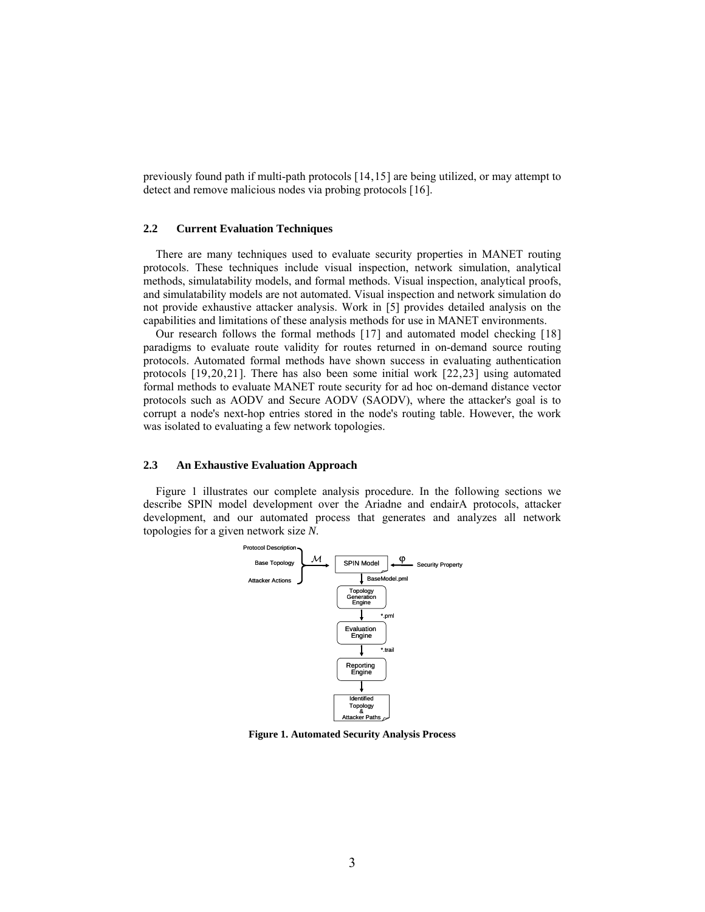previously found path if multi-path protocols [[14](#page-16-0),[15](#page-16-0)] are being utilized, or may attempt to detect and remove malicious nodes via probing protocols [\[16](#page-16-0)].

#### **2.2 Current Evaluation Techniques**

There are many techniques used to evaluate security properties in MANET routing protocols. These techniques include visual inspection, network simulation, analytical methods, simulatability models, and formal methods. Visual inspection, analytical proofs, and simulatability models are not automated. Visual inspection and network simulation do not provide exhaustive attacker analysis. Work in [[5\]](#page-0-0) provides detailed analysis on the capabilities and limitations of these analysis methods for use in MANET environments.

Our research follows the formal methods [[17](#page-16-0)] and automated model checking [[18](#page-16-0)] paradigms to evaluate route validity for routes returned in on-demand source routing protocols. Automated formal methods have shown success in evaluating authentication protocols [[19](#page-16-0),[20](#page-17-0),[21](#page-17-0)]. There has also been some initial work [[22](#page-17-0),[23](#page-17-0)] using automated formal methods to evaluate MANET route security for ad hoc on-demand distance vector protocols such as AODV and Secure AODV (SAODV), where the attacker's goal is to corrupt a node's next-hop entries stored in the node's routing table. However, the work was isolated to evaluating a few network topologies.

#### **2.3 An Exhaustive Evaluation Approach**

[Figure 1](#page-2-0) illustrates our complete analysis procedure. In the following sections we describe SPIN model development over the Ariadne and endairA protocols, attacker development, and our automated process that generates and analyzes all network topologies for a given network size *N*.



<span id="page-2-0"></span>**Figure 1. Automated Security Analysis Process**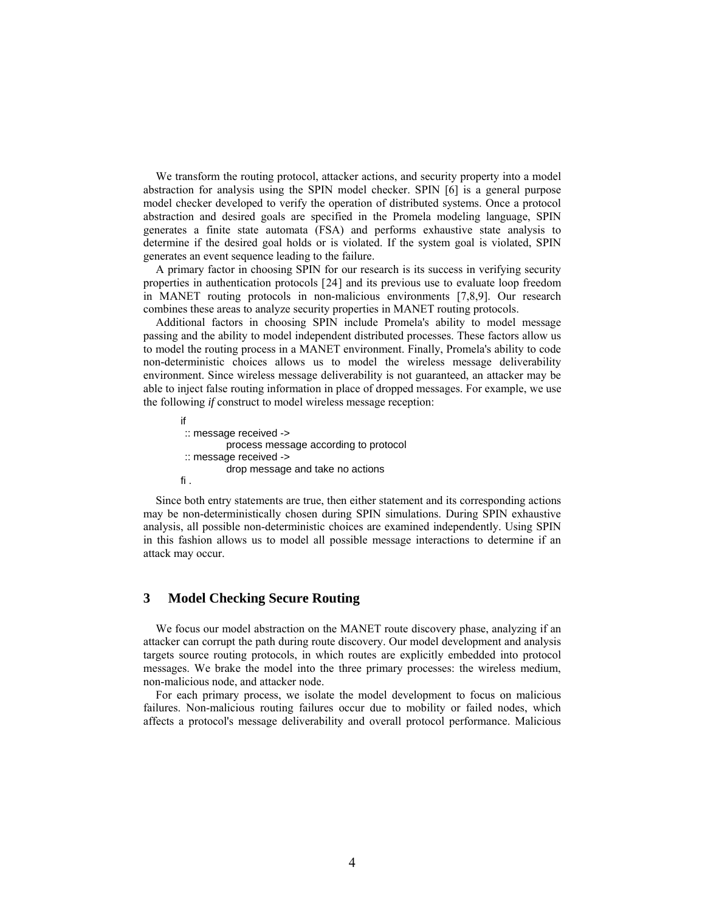We transform the routing protocol, attacker actions, and security property into a model abstraction for analysis using the SPIN model checker. SPIN [[6\]](#page-1-0) is a general purpose model checker developed to verify the operation of distributed systems. Once a protocol abstraction and desired goals are specified in the Promela modeling language, SPIN generates a finite state automata (FSA) and performs exhaustive state analysis to determine if the desired goal holds or is violated. If the system goal is violated, SPIN generates an event sequence leading to the failure.

<span id="page-3-0"></span>A primary factor in choosing SPIN for our research is its success in verifying security properties in authentication protocols [[24](#page-17-0)] and its previous use to evaluate loop freedom in MANET routing protocols in non-malicious environments [\[7](#page-1-1),[8,9](#page-1-1)]. Our research combines these areas to analyze security properties in MANET routing protocols.

Additional factors in choosing SPIN include Promela's ability to model message passing and the ability to model independent distributed processes. These factors allow us to model the routing process in a MANET environment. Finally, Promela's ability to code non-deterministic choices allows us to model the wireless message deliverability environment. Since wireless message deliverability is not guaranteed, an attacker may be able to inject false routing information in place of dropped messages. For example, we use the following *if* construct to model wireless message reception:

```
if 
 :: message received -> 
           process message according to protocol 
 :: message received -> 
           drop message and take no actions 
fi .
```
Since both entry statements are true, then either statement and its corresponding actions may be non-deterministically chosen during SPIN simulations. During SPIN exhaustive analysis, all possible non-deterministic choices are examined independently. Using SPIN in this fashion allows us to model all possible message interactions to determine if an attack may occur.

## **3 Model Checking Secure Routing**

We focus our model abstraction on the MANET route discovery phase, analyzing if an attacker can corrupt the path during route discovery. Our model development and analysis targets source routing protocols, in which routes are explicitly embedded into protocol messages. We brake the model into the three primary processes: the wireless medium, non-malicious node, and attacker node.

For each primary process, we isolate the model development to focus on malicious failures. Non-malicious routing failures occur due to mobility or failed nodes, which affects a protocol's message deliverability and overall protocol performance. Malicious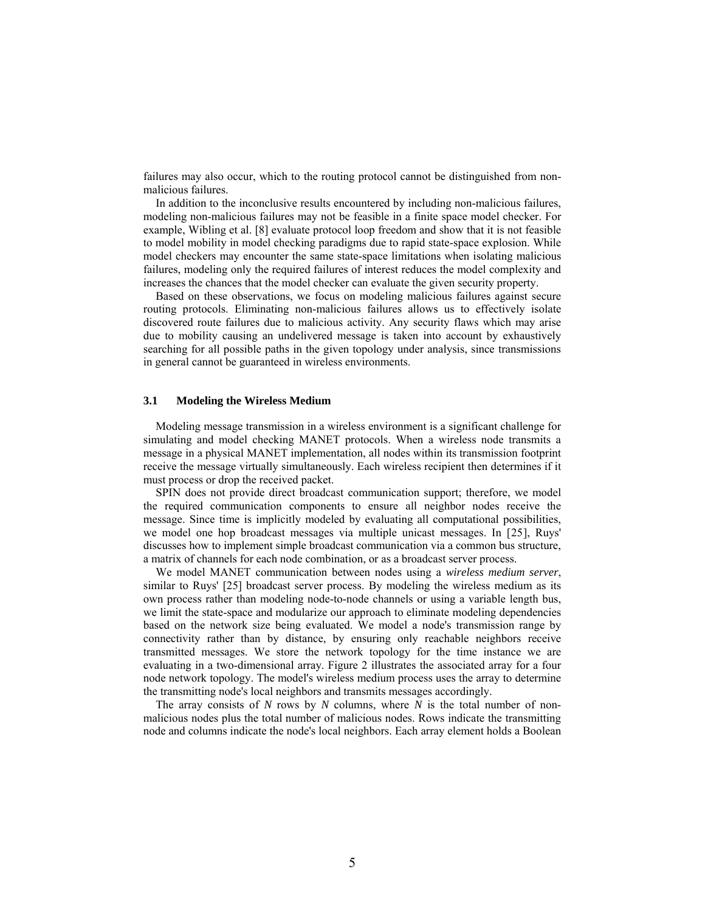failures may also occur, which to the routing protocol cannot be distinguished from nonmalicious failures.

In addition to the inconclusive results encountered by including non-malicious failures, modeling non-malicious failures may not be feasible in a finite space model checker. For example, Wibling et al. [[8\]](#page-1-1) evaluate protocol loop freedom and show that it is not feasible to model mobility in model checking paradigms due to rapid state-space explosion. While model checkers may encounter the same state-space limitations when isolating malicious failures, modeling only the required failures of interest reduces the model complexity and increases the chances that the model checker can evaluate the given security property.

Based on these observations, we focus on modeling malicious failures against secure routing protocols. Eliminating non-malicious failures allows us to effectively isolate discovered route failures due to malicious activity. Any security flaws which may arise due to mobility causing an undelivered message is taken into account by exhaustively searching for all possible paths in the given topology under analysis, since transmissions in general cannot be guaranteed in wireless environments.

#### **3.1 Modeling the Wireless Medium**

Modeling message transmission in a wireless environment is a significant challenge for simulating and model checking MANET protocols. When a wireless node transmits a message in a physical MANET implementation, all nodes within its transmission footprint receive the message virtually simultaneously. Each wireless recipient then determines if it must process or drop the received packet.

<span id="page-4-0"></span>SPIN does not provide direct broadcast communication support; therefore, we model the required communication components to ensure all neighbor nodes receive the message. Since time is implicitly modeled by evaluating all computational possibilities, we model one hop broadcast messages via multiple unicast messages. In [[25](#page-17-0)], Ruys' discusses how to implement simple broadcast communication via a common bus structure, a matrix of channels for each node combination, or as a broadcast server process.

We model MANET communication between nodes using a *wireless medium server*, similar to Ruys' [[25\]](#page-4-0) broadcast server process. By modeling the wireless medium as its own process rather than modeling node-to-node channels or using a variable length bus, we limit the state-space and modularize our approach to eliminate modeling dependencies based on the network size being evaluated. We model a node's transmission range by connectivity rather than by distance, by ensuring only reachable neighbors receive transmitted messages. We store the network topology for the time instance we are evaluating in a two-dimensional array. [Figure 2](#page-5-0) illustrates the associated array for a four node network topology. The model's wireless medium process uses the array to determine the transmitting node's local neighbors and transmits messages accordingly.

The array consists of *N* rows by *N* columns, where *N* is the total number of nonmalicious nodes plus the total number of malicious nodes. Rows indicate the transmitting node and columns indicate the node's local neighbors. Each array element holds a Boolean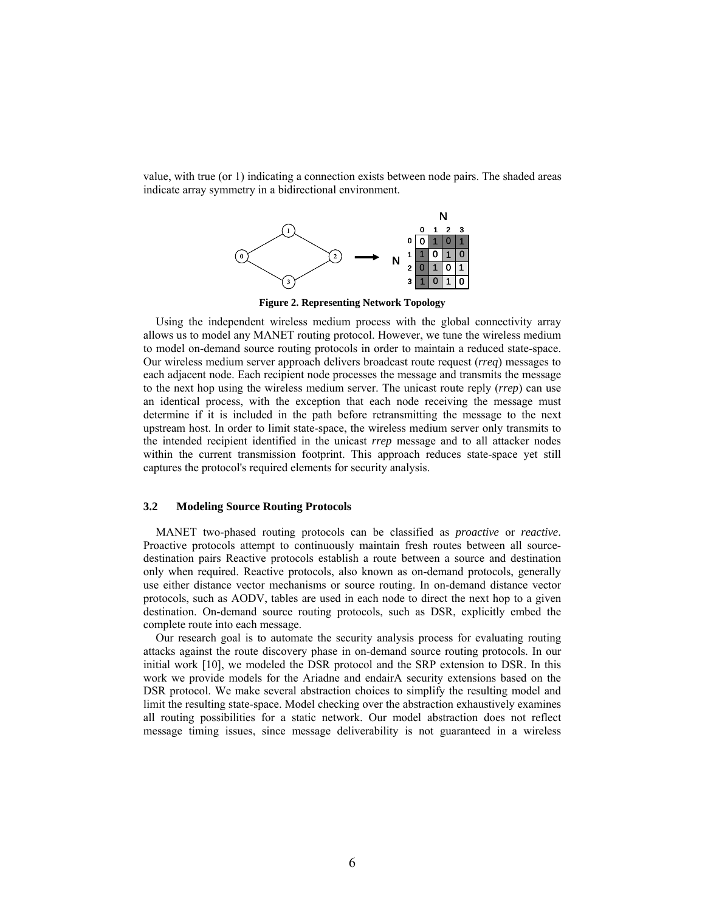value, with true (or 1) indicating a connection exists between node pairs. The shaded areas indicate array symmetry in a bidirectional environment.



**Figure 2. Representing Network Topology** 

<span id="page-5-0"></span>Using the independent wireless medium process with the global connectivity array allows us to model any MANET routing protocol. However, we tune the wireless medium to model on-demand source routing protocols in order to maintain a reduced state-space. Our wireless medium server approach delivers broadcast route request (*rreq*) messages to each adjacent node. Each recipient node processes the message and transmits the message to the next hop using the wireless medium server. The unicast route reply (*rrep*) can use an identical process, with the exception that each node receiving the message must determine if it is included in the path before retransmitting the message to the next upstream host. In order to limit state-space, the wireless medium server only transmits to the intended recipient identified in the unicast *rrep* message and to all attacker nodes within the current transmission footprint. This approach reduces state-space yet still captures the protocol's required elements for security analysis.

#### **3.2 Modeling Source Routing Protocols**

MANET two-phased routing protocols can be classified as *proactive* or *reactive*. Proactive protocols attempt to continuously maintain fresh routes between all sourcedestination pairs Reactive protocols establish a route between a source and destination only when required. Reactive protocols, also known as on-demand protocols, generally use either distance vector mechanisms or source routing. In on-demand distance vector protocols, such as AODV, tables are used in each node to direct the next hop to a given destination. On-demand source routing protocols, such as DSR, explicitly embed the complete route into each message.

Our research goal is to automate the security analysis process for evaluating routing attacks against the route discovery phase in on-demand source routing protocols. In our initial work [[10\]](#page-1-2), we modeled the DSR protocol and the SRP extension to DSR. In this work we provide models for the Ariadne and endairA security extensions based on the DSR protocol. We make several abstraction choices to simplify the resulting model and limit the resulting state-space. Model checking over the abstraction exhaustively examines all routing possibilities for a static network. Our model abstraction does not reflect message timing issues, since message deliverability is not guaranteed in a wireless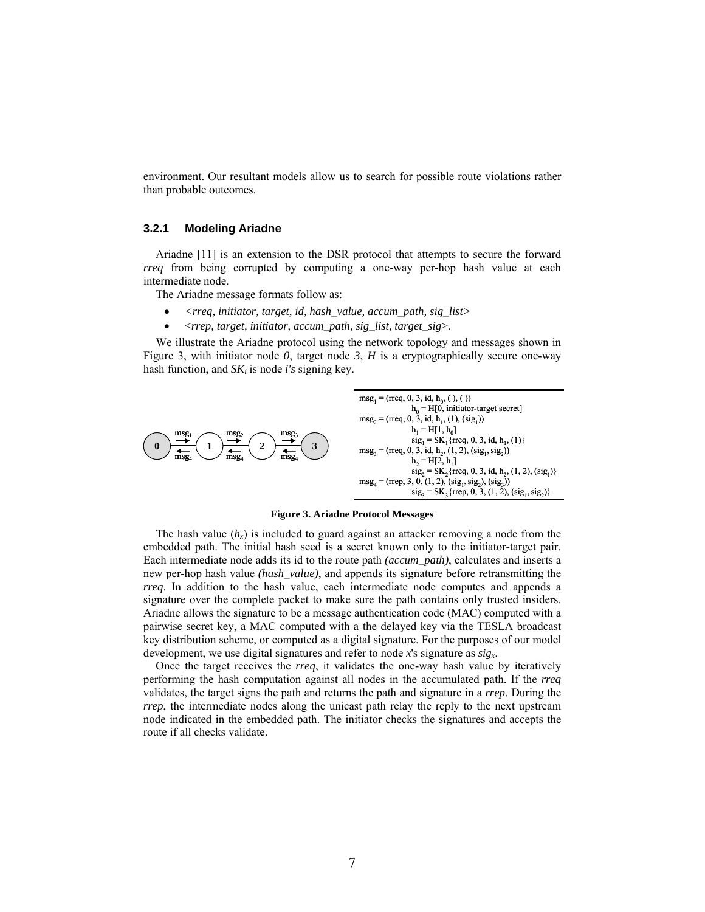environment. Our resultant models allow us to search for possible route violations rather than probable outcomes.

#### **3.2.1 Modeling Ariadne**

Ariadne [\[11](#page-1-3)] is an extension to the DSR protocol that attempts to secure the forward *rreq* from being corrupted by computing a one-way per-hop hash value at each intermediate node.

The Ariadne message formats follow as:

- *<rreq, initiator, target, id, hash\_value, accum\_path, sig\_list>*
- <*rrep, target, initiator, accum\_path, sig\_list, target\_sig*>.

We illustrate the Ariadne protocol using the network topology and messages shown in [Figure 3,](#page-6-0) with initiator node 0, target node 3,  $H$  is a cryptographically secure one-way hash function, and  $SK_i$  is node *i's* signing key.



**Figure 3. Ariadne Protocol Messages** 

<span id="page-6-0"></span>The hash value  $(h<sub>x</sub>)$  is included to guard against an attacker removing a node from the embedded path. The initial hash seed is a secret known only to the initiator-target pair. Each intermediate node adds its id to the route path *(accum\_path)*, calculates and inserts a new per-hop hash value *(hash\_value)*, and appends its signature before retransmitting the *rreq*. In addition to the hash value, each intermediate node computes and appends a signature over the complete packet to make sure the path contains only trusted insiders. Ariadne allows the signature to be a message authentication code (MAC) computed with a pairwise secret key, a MAC computed with a the delayed key via the TESLA broadcast key distribution scheme, or computed as a digital signature. For the purposes of our model development, we use digital signatures and refer to node *x*'s signature as *sigx*.

Once the target receives the *rreq*, it validates the one-way hash value by iteratively performing the hash computation against all nodes in the accumulated path. If the *rreq*  validates, the target signs the path and returns the path and signature in a *rrep*. During the *rrep*, the intermediate nodes along the unicast path relay the reply to the next upstream node indicated in the embedded path. The initiator checks the signatures and accepts the route if all checks validate.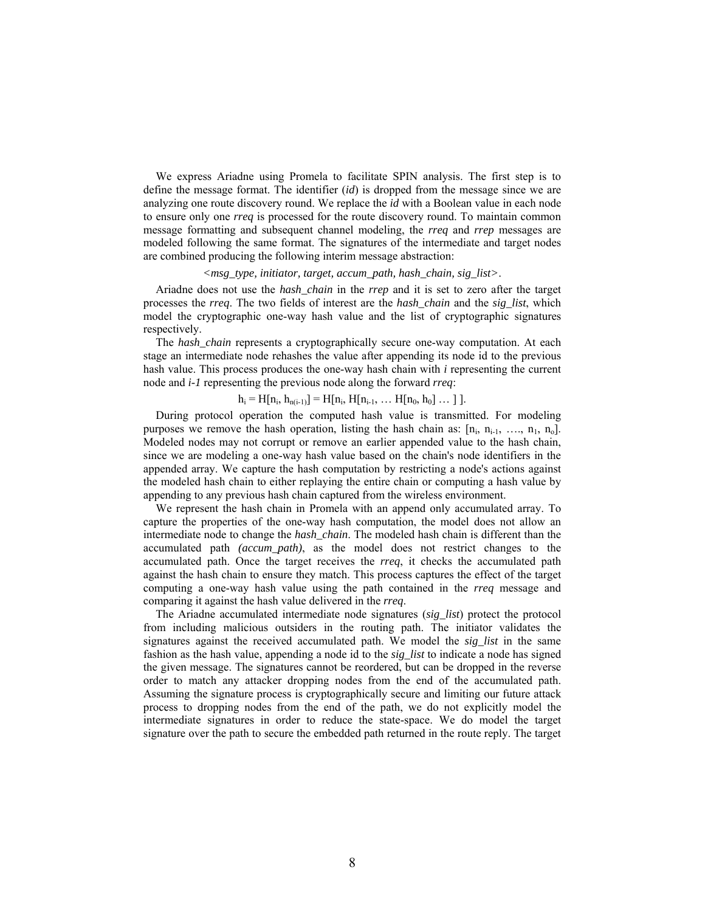We express Ariadne using Promela to facilitate SPIN analysis. The first step is to define the message format. The identifier (*id*) is dropped from the message since we are analyzing one route discovery round. We replace the *id* with a Boolean value in each node to ensure only one *rreq* is processed for the route discovery round. To maintain common message formatting and subsequent channel modeling, the *rreq* and *rrep* messages are modeled following the same format. The signatures of the intermediate and target nodes are combined producing the following interim message abstraction:

### *<msg\_type, initiator, target, accum\_path, hash\_chain, sig\_list>*.

Ariadne does not use the *hash\_chain* in the *rrep* and it is set to zero after the target processes the *rreq*. The two fields of interest are the *hash\_chain* and the *sig\_list*, which model the cryptographic one-way hash value and the list of cryptographic signatures respectively.

The *hash\_chain* represents a cryptographically secure one-way computation. At each stage an intermediate node rehashes the value after appending its node id to the previous hash value. This process produces the one-way hash chain with *i* representing the current node and *i-1* representing the previous node along the forward *rreq*:

## $h_i = H[n_i, h_{n(i-1)}] = H[n_i, H[n_{i-1}, \dots H[n_0, h_0] \dots ]].$

During protocol operation the computed hash value is transmitted. For modeling purposes we remove the hash operation, listing the hash chain as:  $[n_i, n_{i-1}, ..., n_1, n_0]$ . Modeled nodes may not corrupt or remove an earlier appended value to the hash chain, since we are modeling a one-way hash value based on the chain's node identifiers in the appended array. We capture the hash computation by restricting a node's actions against the modeled hash chain to either replaying the entire chain or computing a hash value by appending to any previous hash chain captured from the wireless environment.

We represent the hash chain in Promela with an append only accumulated array. To capture the properties of the one-way hash computation, the model does not allow an intermediate node to change the *hash\_chain*. The modeled hash chain is different than the accumulated path *(accum\_path)*, as the model does not restrict changes to the accumulated path. Once the target receives the *rreq*, it checks the accumulated path against the hash chain to ensure they match. This process captures the effect of the target computing a one-way hash value using the path contained in the *rreq* message and comparing it against the hash value delivered in the *rreq*.

The Ariadne accumulated intermediate node signatures (*sig\_list*) protect the protocol from including malicious outsiders in the routing path. The initiator validates the signatures against the received accumulated path. We model the *sig\_list* in the same fashion as the hash value, appending a node id to the *sig\_list* to indicate a node has signed the given message. The signatures cannot be reordered, but can be dropped in the reverse order to match any attacker dropping nodes from the end of the accumulated path. Assuming the signature process is cryptographically secure and limiting our future attack process to dropping nodes from the end of the path, we do not explicitly model the intermediate signatures in order to reduce the state-space. We do model the target signature over the path to secure the embedded path returned in the route reply. The target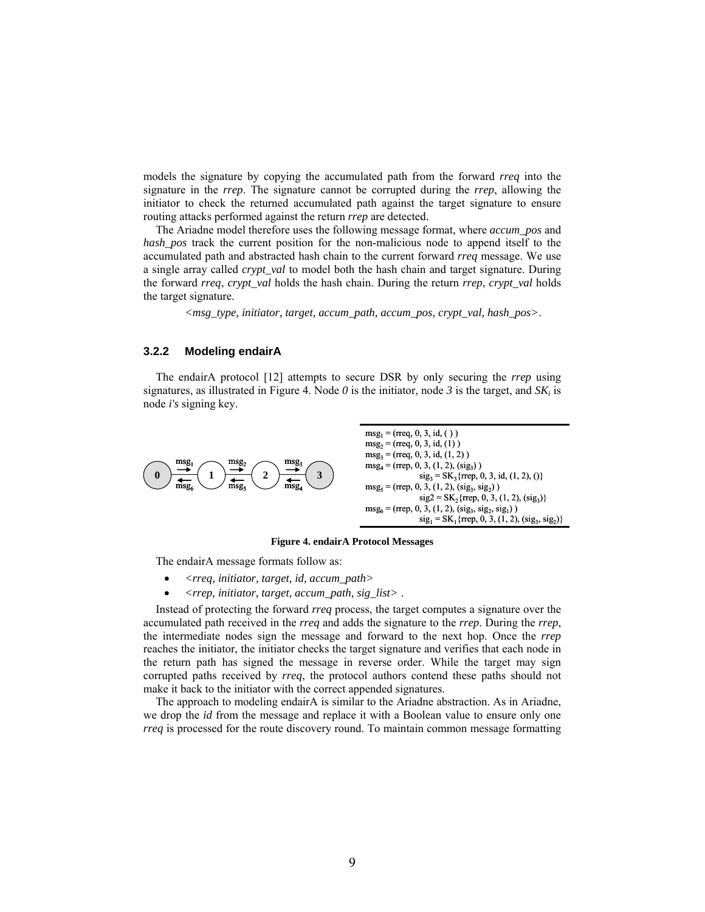models the signature by copying the accumulated path from the forward *rreq* into the signature in the *rrep*. The signature cannot be corrupted during the *rrep*, allowing the initiator to check the returned accumulated path against the target signature to ensure routing attacks performed against the return *rrep* are detected.

The Ariadne model therefore uses the following message format, where *accum\_pos* and *hash pos* track the current position for the non-malicious node to append itself to the accumulated path and abstracted hash chain to the current forward *rreq* message. We use a single array called *crypt\_val* to model both the hash chain and target signature. During the forward *rreq*, *crypt\_val* holds the hash chain. During the return *rrep*, *crypt\_val* holds the target signature.

*<msg\_type, initiator, target, accum\_path, accum\_pos, crypt\_val, hash\_pos>*.

### **3.2.2 Modeling endairA**

The endairA protocol [\[12\]](#page-1-4) attempts to secure DSR by only securing the *rrep* using signatures, as illustrated in [Figure 4.](#page-8-0) Node  $\theta$  is the initiator, node  $\theta$  is the target, and *SK<sub>i</sub>* is node *i's* signing key.



```
msg_1 = (rreq, 0, 3, id, () )msg_2 = (rreq, 0, 3, id, (1))msg_3 = (rreq, 0, 3, id, (1, 2))msg_4 = (rrep, 0, 3, (1, 2), (sig_3))sig_3 = SK_3{rrep, 0, 3, id, (1, 2), ()}
msg_5 = (rrep, 0, 3, (1, 2), (sig_3, sig_2))sig2 = SK_2{rrep, 0, 3, (1, 2), (sig<sub>3</sub>)}
msg_6 = (rrep, 0, 3, (1, 2), (sig_3, sig_2, sig_1))sig_1 = SK_1{rrep, 0, 3, (1, 2), (sig<sub>3</sub>, sig<sub>2</sub>)}
```
**Figure 4. endairA Protocol Messages** 

The endairA message formats follow as:

- *<rreq, initiator, target, id, accum\_path>*
- *<rrep, initiator, target, accum\_path, sig\_list>* .

<span id="page-8-0"></span>Instead of protecting the forward *rreq* process, the target computes a signature over the accumulated path received in the *rreq* and adds the signature to the *rrep*. During the *rrep*, the intermediate nodes sign the message and forward to the next hop. Once the *rrep*  reaches the initiator, the initiator checks the target signature and verifies that each node in the return path has signed the message in reverse order. While the target may sign corrupted paths received by *rreq*, the protocol authors contend these paths should not make it back to the initiator with the correct appended signatures.

The approach to modeling endairA is similar to the Ariadne abstraction. As in Ariadne, we drop the *id* from the message and replace it with a Boolean value to ensure only one *rreq* is processed for the route discovery round. To maintain common message formatting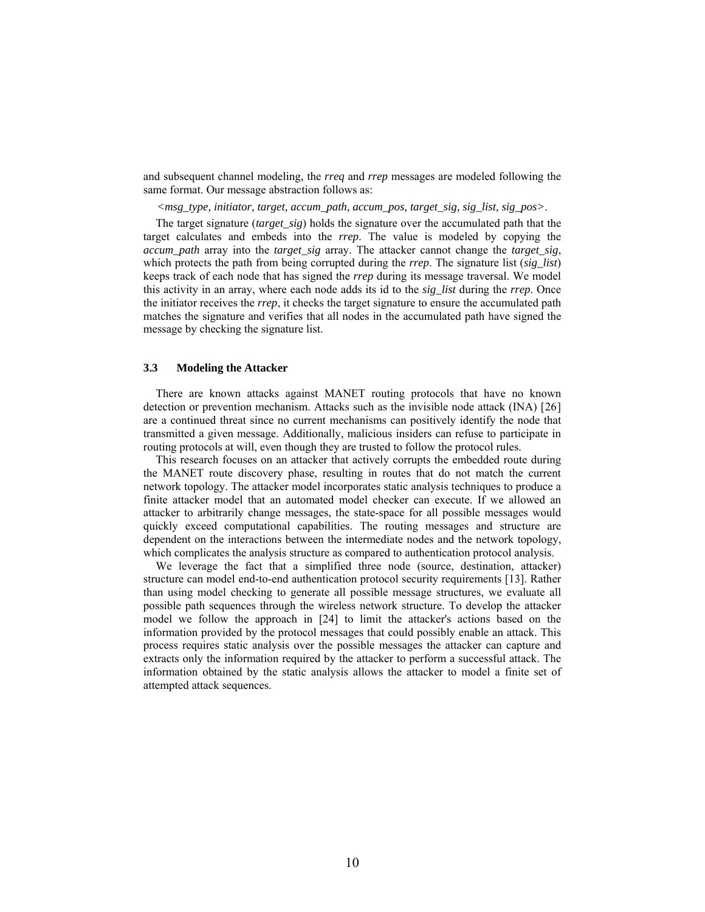and subsequent channel modeling, the *rreq* and *rrep* messages are modeled following the same format. Our message abstraction follows as:

*<msg\_type, initiator, target, accum\_path, accum\_pos, target\_sig, sig\_list, sig\_pos>*.

The target signature (*target\_sig*) holds the signature over the accumulated path that the target calculates and embeds into the *rrep*. The value is modeled by copying the *accum\_path* array into the *target\_sig* array. The attacker cannot change the *target sig*, which protects the path from being corrupted during the *rrep*. The signature list (*sig\_list*) keeps track of each node that has signed the *rrep* during its message traversal. We model this activity in an array, where each node adds its id to the *sig\_list* during the *rrep*. Once the initiator receives the *rrep*, it checks the target signature to ensure the accumulated path matches the signature and verifies that all nodes in the accumulated path have signed the message by checking the signature list.

### **3.3 Modeling the Attacker**

There are known attacks against MANET routing protocols that have no known detection or prevention mechanism. Attacks such as the invisible node attack (INA) [\[26](#page-17-0)] are a continued threat since no current mechanisms can positively identify the node that transmitted a given message. Additionally, malicious insiders can refuse to participate in routing protocols at will, even though they are trusted to follow the protocol rules.

This research focuses on an attacker that actively corrupts the embedded route during the MANET route discovery phase, resulting in routes that do not match the current network topology. The attacker model incorporates static analysis techniques to produce a finite attacker model that an automated model checker can execute. If we allowed an attacker to arbitrarily change messages, the state-space for all possible messages would quickly exceed computational capabilities. The routing messages and structure are dependent on the interactions between the intermediate nodes and the network topology, which complicates the analysis structure as compared to authentication protocol analysis.

We leverage the fact that a simplified three node (source, destination, attacker) structure can model end-to-end authentication protocol security requirements [\[13](#page-1-5)]. Rather than using model checking to generate all possible message structures, we evaluate all possible path sequences through the wireless network structure. To develop the attacker model we follow the approach in [\[24](#page-3-0)] to limit the attacker's actions based on the information provided by the protocol messages that could possibly enable an attack. This process requires static analysis over the possible messages the attacker can capture and extracts only the information required by the attacker to perform a successful attack. The information obtained by the static analysis allows the attacker to model a finite set of attempted attack sequences.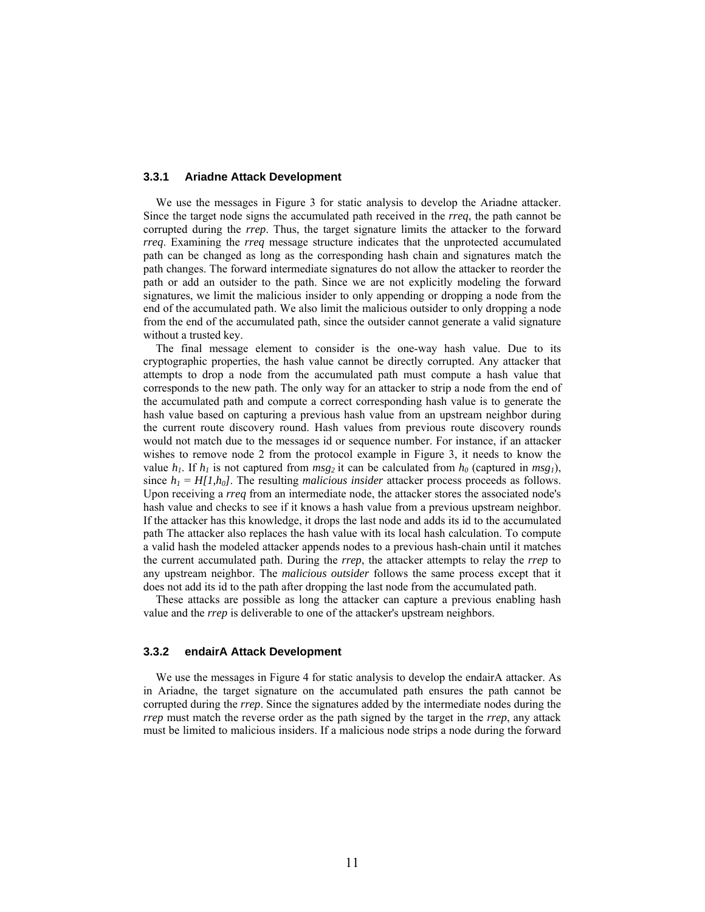#### **3.3.1 Ariadne Attack Development**

We use the messages in [Figure 3](#page-6-0) for static analysis to develop the Ariadne attacker. Since the target node signs the accumulated path received in the *rreq*, the path cannot be corrupted during the *rrep*. Thus, the target signature limits the attacker to the forward *rreq*. Examining the *rreq* message structure indicates that the unprotected accumulated path can be changed as long as the corresponding hash chain and signatures match the path changes. The forward intermediate signatures do not allow the attacker to reorder the path or add an outsider to the path. Since we are not explicitly modeling the forward signatures, we limit the malicious insider to only appending or dropping a node from the end of the accumulated path. We also limit the malicious outsider to only dropping a node from the end of the accumulated path, since the outsider cannot generate a valid signature without a trusted key.

The final message element to consider is the one-way hash value. Due to its cryptographic properties, the hash value cannot be directly corrupted. Any attacker that attempts to drop a node from the accumulated path must compute a hash value that corresponds to the new path. The only way for an attacker to strip a node from the end of the accumulated path and compute a correct corresponding hash value is to generate the hash value based on capturing a previous hash value from an upstream neighbor during the current route discovery round. Hash values from previous route discovery rounds would not match due to the messages id or sequence number. For instance, if an attacker wishes to remove node 2 from the protocol example in [Figure 3,](#page-6-0) it needs to know the value  $h_1$ . If  $h_1$  is not captured from  $msg_2$  it can be calculated from  $h_0$  (captured in  $msg_1$ ), since  $h_1 = H[1, h_0]$ . The resulting *malicious insider* attacker process proceeds as follows. Upon receiving a *rreq* from an intermediate node, the attacker stores the associated node's hash value and checks to see if it knows a hash value from a previous upstream neighbor. If the attacker has this knowledge, it drops the last node and adds its id to the accumulated path The attacker also replaces the hash value with its local hash calculation. To compute a valid hash the modeled attacker appends nodes to a previous hash-chain until it matches the current accumulated path. During the *rrep*, the attacker attempts to relay the *rrep* to any upstream neighbor. The *malicious outsider* follows the same process except that it does not add its id to the path after dropping the last node from the accumulated path.

These attacks are possible as long the attacker can capture a previous enabling hash value and the *rrep* is deliverable to one of the attacker's upstream neighbors.

#### **3.3.2 endairA Attack Development**

We use the messages in [Figure 4](#page-8-0) for static analysis to develop the endairA attacker. As in Ariadne, the target signature on the accumulated path ensures the path cannot be corrupted during the *rrep*. Since the signatures added by the intermediate nodes during the *rrep* must match the reverse order as the path signed by the target in the *rrep*, any attack must be limited to malicious insiders. If a malicious node strips a node during the forward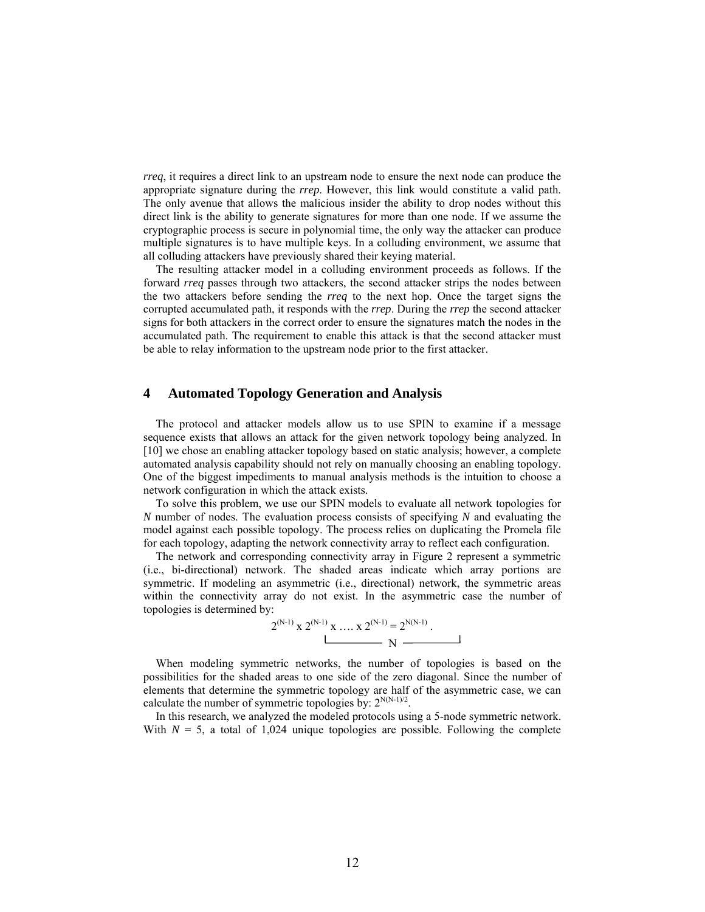*rreq*, it requires a direct link to an upstream node to ensure the next node can produce the appropriate signature during the *rrep*. However, this link would constitute a valid path. The only avenue that allows the malicious insider the ability to drop nodes without this direct link is the ability to generate signatures for more than one node. If we assume the cryptographic process is secure in polynomial time, the only way the attacker can produce multiple signatures is to have multiple keys. In a colluding environment, we assume that all colluding attackers have previously shared their keying material.

The resulting attacker model in a colluding environment proceeds as follows. If the forward *rreq* passes through two attackers, the second attacker strips the nodes between the two attackers before sending the *rreq* to the next hop. Once the target signs the corrupted accumulated path, it responds with the *rrep*. During the *rrep* the second attacker signs for both attackers in the correct order to ensure the signatures match the nodes in the accumulated path. The requirement to enable this attack is that the second attacker must be able to relay information to the upstream node prior to the first attacker.

# **4 Automated Topology Generation and Analysis**

The protocol and attacker models allow us to use SPIN to examine if a message sequence exists that allows an attack for the given network topology being analyzed. In [[10\]](#page-1-2) we chose an enabling attacker topology based on static analysis; however, a complete automated analysis capability should not rely on manually choosing an enabling topology. One of the biggest impediments to manual analysis methods is the intuition to choose a network configuration in which the attack exists.

To solve this problem, we use our SPIN models to evaluate all network topologies for *N* number of nodes. The evaluation process consists of specifying *N* and evaluating the model against each possible topology. The process relies on duplicating the Promela file for each topology, adapting the network connectivity array to reflect each configuration.

The network and corresponding connectivity array in [Figure 2](#page-5-0) represent a symmetric (i.e., bi-directional) network. The shaded areas indicate which array portions are symmetric. If modeling an asymmetric (i.e., directional) network, the symmetric areas within the connectivity array do not exist. In the asymmetric case the number of topologies is determined by:

 $2^{(N-1)} \times 2^{(N-1)} \times \ldots \times 2^{(N-1)} = 2^{N(N-1)}$ .  $\overline{\phantom{a}}$  N

When modeling symmetric networks, the number of topologies is based on the possibilities for the shaded areas to one side of the zero diagonal. Since the number of elements that determine the symmetric topology are half of the asymmetric case, we can calculate the number of symmetric topologies by:  $2^{N(N-1)/2}$ .

In this research, we analyzed the modeled protocols using a 5-node symmetric network. With  $N = 5$ , a total of 1,024 unique topologies are possible. Following the complete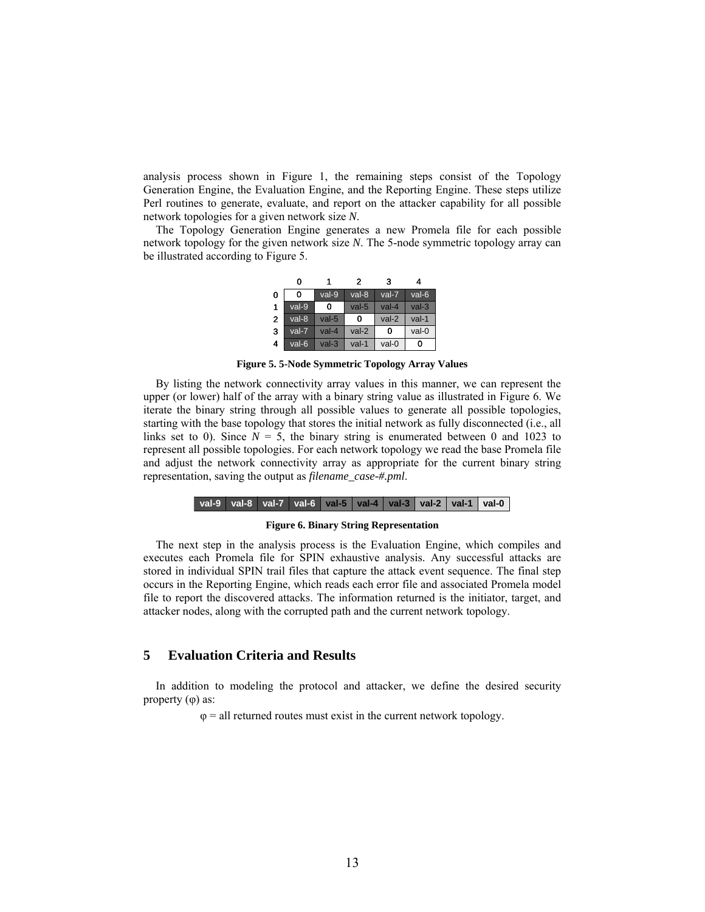analysis process shown in [Figure 1](#page-2-0), the remaining steps consist of the Topology Generation Engine, the Evaluation Engine, and the Reporting Engine. These steps utilize Perl routines to generate, evaluate, and report on the attacker capability for all possible network topologies for a given network size *N*.

The Topology Generation Engine generates a new Promela file for each possible network topology for the given network size *N*. The 5-node symmetric topology array can be illustrated according to [Figure 5.](#page-12-0)

|                     | 0      |         | 2                            | з       |         |
|---------------------|--------|---------|------------------------------|---------|---------|
| $\mathbf 0$         | 0      | val-9   | $\overline{\mathsf{val}}$ -8 | val-7   | val-6   |
| $\overline{1}$      | val-9  | 0       | $val-5$                      | $val-4$ | $val-3$ |
| $\overline{2}$      | val-8  | $val-5$ |                              | $val-2$ | $val-1$ |
| 3                   | val-Z  | $val-4$ | $val-2$                      | 0       | val-0   |
| $\overline{\bf{4}}$ | val-6' | val-3   | $val-1$                      | val-0   |         |

**Figure 5. 5-Node Symmetric Topology Array Values** 

<span id="page-12-0"></span>By listing the network connectivity array values in this manner, we can represent the upper (or lower) half of the array with a binary string value as illustrated in [Figure 6](#page-12-1). We iterate the binary string through all possible values to generate all possible topologies, starting with the base topology that stores the initial network as fully disconnected (i.e., all links set to 0). Since  $N = 5$ , the binary string is enumerated between 0 and 1023 to represent all possible topologies. For each network topology we read the base Promela file and adjust the network connectivity array as appropriate for the current binary string representation, saving the output as *filename\_case-#.pml*.

|  |  |  |  | val-9   val-8   val-7   val-6   val-5   val-4   val-3   val-2   val-1   val-0 |  |
|--|--|--|--|-------------------------------------------------------------------------------|--|
|  |  |  |  |                                                                               |  |

#### **Figure 6. Binary String Representation**

<span id="page-12-1"></span>The next step in the analysis process is the Evaluation Engine, which compiles and executes each Promela file for SPIN exhaustive analysis. Any successful attacks are stored in individual SPIN trail files that capture the attack event sequence. The final step occurs in the Reporting Engine, which reads each error file and associated Promela model file to report the discovered attacks. The information returned is the initiator, target, and attacker nodes, along with the corrupted path and the current network topology.

# **5 Evaluation Criteria and Results**

In addition to modeling the protocol and attacker, we define the desired security property  $(\varphi)$  as:

 $\varphi$  = all returned routes must exist in the current network topology.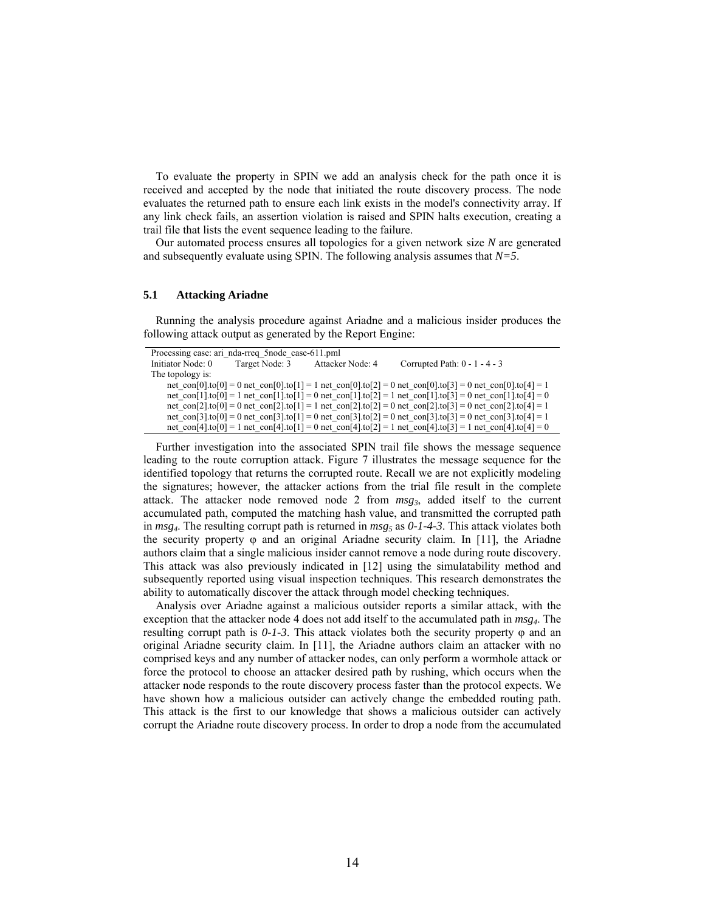To evaluate the property in SPIN we add an analysis check for the path once it is received and accepted by the node that initiated the route discovery process. The node evaluates the returned path to ensure each link exists in the model's connectivity array. If any link check fails, an assertion violation is raised and SPIN halts execution, creating a trail file that lists the event sequence leading to the failure.

Our automated process ensures all topologies for a given network size *N* are generated and subsequently evaluate using SPIN. The following analysis assumes that *N=5*.

#### **5.1 Attacking Ariadne**

Running the analysis procedure against Ariadne and a malicious insider produces the following attack output as generated by the Report Engine:

| Processing case: ari nda-rreq 5 node case-611.pml |                |                  |                                                                                                          |  |  |
|---------------------------------------------------|----------------|------------------|----------------------------------------------------------------------------------------------------------|--|--|
| Initiator Node: 0                                 | Target Node: 3 | Attacker Node: 4 | Corrupted Path: $0 - 1 - 4 - 3$                                                                          |  |  |
| The topology is:                                  |                |                  |                                                                                                          |  |  |
|                                                   |                |                  | net con[0].to[0] = 0 net con[0].to[1] = 1 net con[0].to[2] = 0 net con[0].to[3] = 0 net con[0].to[4] = 1 |  |  |
|                                                   |                |                  | net con[1].to[0] = 1 net con[1].to[1] = 0 net con[1].to[2] = 1 net con[1].to[3] = 0 net con[1].to[4] = 0 |  |  |
|                                                   |                |                  | net con[2].to[0] = 0 net con[2].to[1] = 1 net con[2].to[2] = 0 net con[2].to[3] = 0 net con[2].to[4] = 1 |  |  |
|                                                   |                |                  | net con[3].to[0] = 0 net con[3].to[1] = 0 net con[3].to[2] = 0 net con[3].to[3] = 0 net con[3].to[4] = 1 |  |  |
|                                                   |                |                  | net con[4].to[0] = 1 net con[4].to[1] = 0 net con[4].to[2] = 1 net con[4].to[3] = 1 net con[4].to[4] = 0 |  |  |

Further investigation into the associated SPIN trail file shows the message sequence leading to the route corruption attack. [Figure 7](#page-14-0) illustrates the message sequence for the identified topology that returns the corrupted route. Recall we are not explicitly modeling the signatures; however, the attacker actions from the trial file result in the complete attack. The attacker node removed node 2 from  $msg<sub>3</sub>$ , added itself to the current accumulated path, computed the matching hash value, and transmitted the corrupted path in  $msg_4$ . The resulting corrupt path is returned in  $msg_5$  as  $0-1-4-3$ . This attack violates both the security property  $\varphi$  and an original Ariadne security claim. In [\[11](#page-1-3)], the Ariadne authors claim that a single malicious insider cannot remove a node during route discovery. This attack was also previously indicated in [[12\]](#page-1-4) using the simulatability method and subsequently reported using visual inspection techniques. This research demonstrates the ability to automatically discover the attack through model checking techniques.

Analysis over Ariadne against a malicious outsider reports a similar attack, with the exception that the attacker node 4 does not add itself to the accumulated path in *msg4*. The resulting corrupt path is  $0-1-3$ . This attack violates both the security property  $\varphi$  and an original Ariadne security claim. In [\[11](#page-1-3)], the Ariadne authors claim an attacker with no comprised keys and any number of attacker nodes, can only perform a wormhole attack or force the protocol to choose an attacker desired path by rushing, which occurs when the attacker node responds to the route discovery process faster than the protocol expects. We have shown how a malicious outsider can actively change the embedded routing path. This attack is the first to our knowledge that shows a malicious outsider can actively corrupt the Ariadne route discovery process. In order to drop a node from the accumulated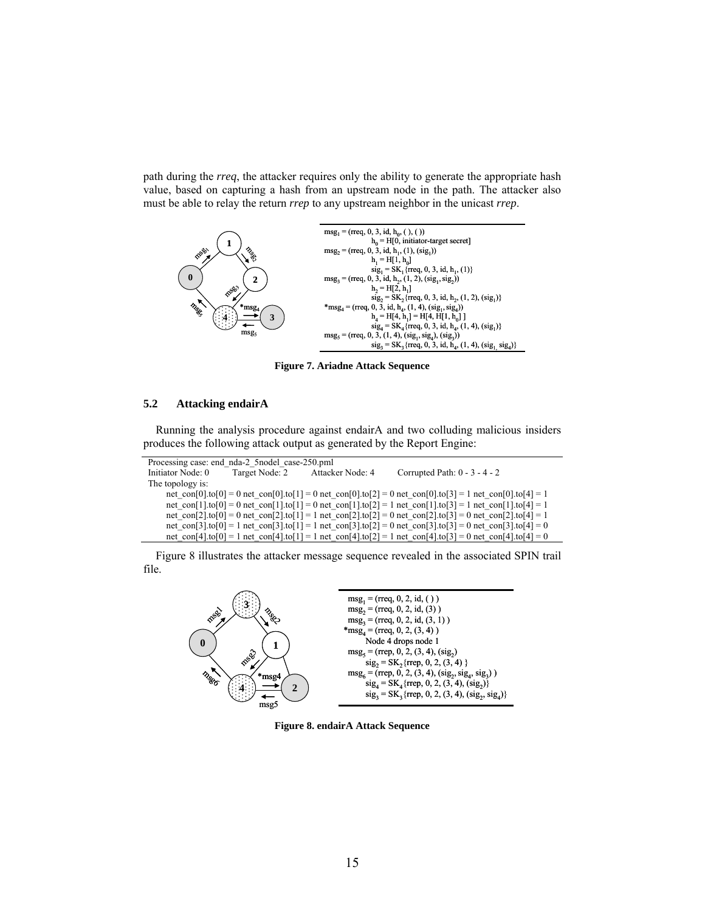path during the *rreq*, the attacker requires only the ability to generate the appropriate hash value, based on capturing a hash from an upstream node in the path. The attacker also must be able to relay the return *rrep* to any upstream neighbor in the unicast *rrep*.



**Figure 7. Ariadne Attack Sequence** 

#### <span id="page-14-0"></span>**5.2 Attacking endairA**

Running the analysis procedure against endairA and two colluding malicious insiders produces the following attack output as generated by the Report Engine:

| Processing case: end nda-2 5 nodel case-250 pml                                                          |                |                  |                                                                                                          |  |  |  |
|----------------------------------------------------------------------------------------------------------|----------------|------------------|----------------------------------------------------------------------------------------------------------|--|--|--|
| Initiator Node: 0                                                                                        | Target Node: 2 | Attacker Node: 4 | Corrupted Path: $0 - 3 - 4 - 2$                                                                          |  |  |  |
| The topology is:                                                                                         |                |                  |                                                                                                          |  |  |  |
| net con[0].to[0] = 0 net con[0].to[1] = 0 net con[0].to[2] = 0 net con[0].to[3] = 1 net con[0].to[4] = 1 |                |                  |                                                                                                          |  |  |  |
|                                                                                                          |                |                  | net con[1].to[0] = 0 net con[1].to[1] = 0 net con[1].to[2] = 1 net con[1].to[3] = 1 net con[1].to[4] = 1 |  |  |  |
|                                                                                                          |                |                  | net con[2].to[0] = 0 net con[2].to[1] = 1 net con[2].to[2] = 0 net con[2].to[3] = 0 net con[2].to[4] = 1 |  |  |  |
|                                                                                                          |                |                  | net con[3].to[0] = 1 net con[3].to[1] = 1 net con[3].to[2] = 0 net con[3].to[3] = 0 net con[3].to[4] = 0 |  |  |  |
|                                                                                                          |                |                  | net con[4].to[0] = 1 net con[4].to[1] = 1 net con[4].to[2] = 1 net con[4].to[3] = 0 net con[4].to[4] = 0 |  |  |  |

[Figure 8](#page-14-1) illustrates the attacker message sequence revealed in the associated SPIN trail file.

<span id="page-14-1"></span>

**Figure 8. endairA Attack Sequence**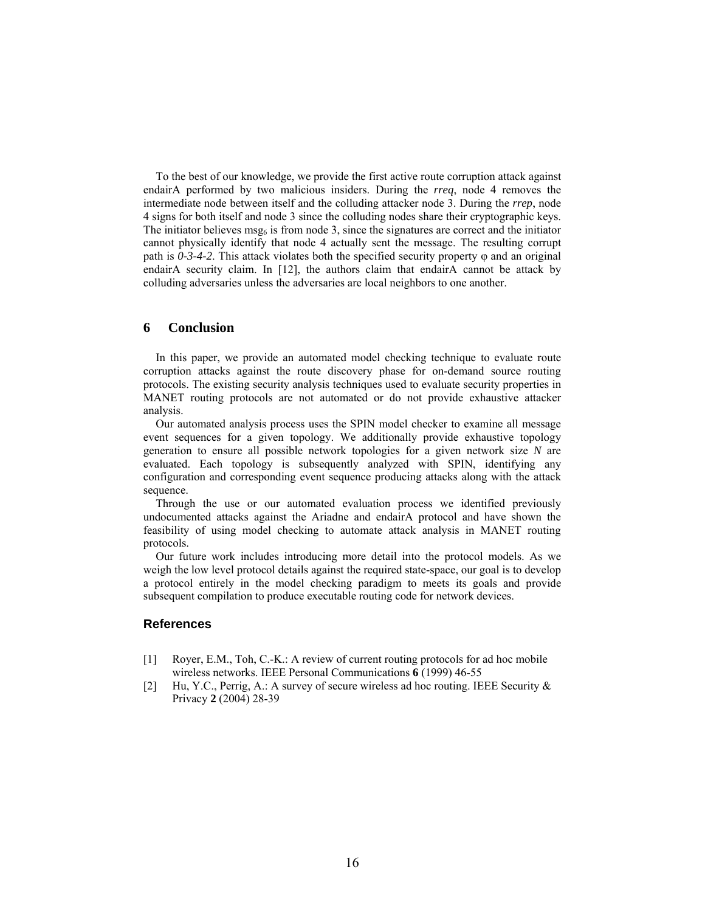<span id="page-15-1"></span>To the best of our knowledge, we provide the first active route corruption attack against endairA performed by two malicious insiders. During the *rreq*, node 4 removes the intermediate node between itself and the colluding attacker node 3. During the *rrep*, node 4 signs for both itself and node 3 since the colluding nodes share their cryptographic keys. The initiator believes msg<sub>6</sub> is from node 3, since the signatures are correct and the initiator cannot physically identify that node 4 actually sent the message. The resulting corrupt path is  $0.3-4-2$ . This attack violates both the specified security property  $\varphi$  and an original endairA security claim. In [\[12](#page-1-4)], the authors claim that endairA cannot be attack by colluding adversaries unless the adversaries are local neighbors to one another.

# **6 Conclusion**

In this paper, we provide an automated model checking technique to evaluate route corruption attacks against the route discovery phase for on-demand source routing protocols. The existing security analysis techniques used to evaluate security properties in MANET routing protocols are not automated or do not provide exhaustive attacker analysis.

Our automated analysis process uses the SPIN model checker to examine all message event sequences for a given topology. We additionally provide exhaustive topology generation to ensure all possible network topologies for a given network size *N* are evaluated. Each topology is subsequently analyzed with SPIN, identifying any configuration and corresponding event sequence producing attacks along with the attack sequence.

Through the use or our automated evaluation process we identified previously undocumented attacks against the Ariadne and endairA protocol and have shown the feasibility of using model checking to automate attack analysis in MANET routing protocols.

Our future work includes introducing more detail into the protocol models. As we weigh the low level protocol details against the required state-space, our goal is to develop a protocol entirely in the model checking paradigm to meets its goals and provide subsequent compilation to produce executable routing code for network devices.

# **References**

- <span id="page-15-0"></span>[1] Royer, E.M., Toh, C.-K.: A review of current routing protocols for ad hoc mobile wireless networks. IEEE Personal Communications **6** (1999) 46-55
- [2] Hu, Y.C., Perrig, A.: A survey of secure wireless ad hoc routing. IEEE Security & Privacy **2** (2004) 28-39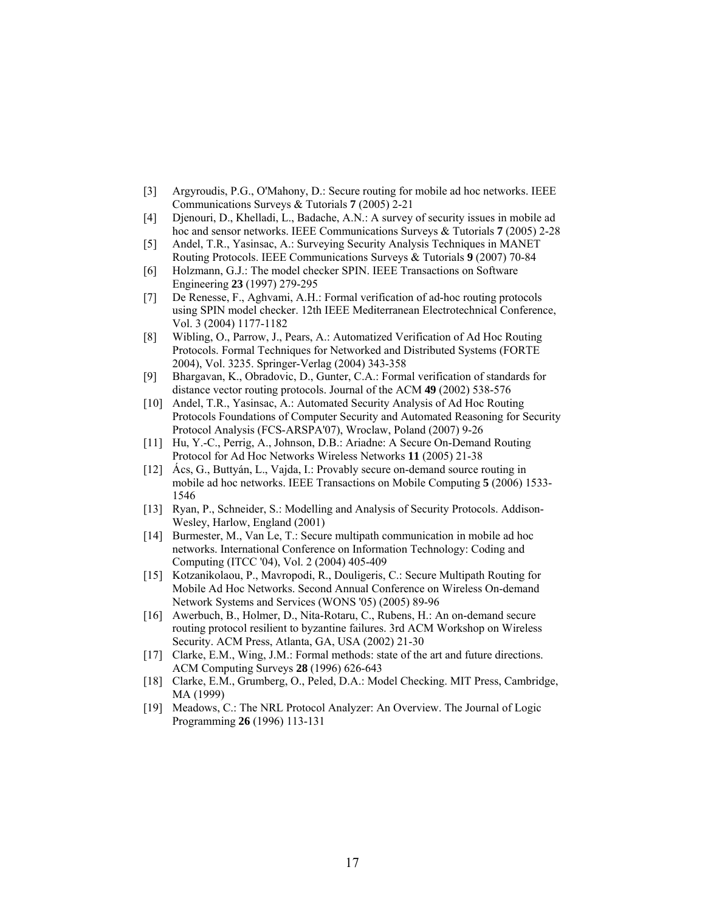- <span id="page-16-0"></span>[3] Argyroudis, P.G., O'Mahony, D.: Secure routing for mobile ad hoc networks. IEEE Communications Surveys & Tutorials **7** (2005) 2-21
- [4] Djenouri, D., Khelladi, L., Badache, A.N.: A survey of security issues in mobile ad hoc and sensor networks. IEEE Communications Surveys & Tutorials **7** (2005) 2-28
- [5] Andel, T.R., Yasinsac, A.: Surveying Security Analysis Techniques in MANET Routing Protocols. IEEE Communications Surveys & Tutorials **9** (2007) 70-84
- [6] Holzmann, G.J.: The model checker SPIN. IEEE Transactions on Software Engineering **23** (1997) 279-295
- [7] De Renesse, F., Aghvami, A.H.: Formal verification of ad-hoc routing protocols using SPIN model checker. 12th IEEE Mediterranean Electrotechnical Conference, Vol. 3 (2004) 1177-1182
- [8] Wibling, O., Parrow, J., Pears, A.: Automatized Verification of Ad Hoc Routing Protocols. Formal Techniques for Networked and Distributed Systems (FORTE 2004), Vol. 3235. Springer-Verlag (2004) 343-358
- [9] Bhargavan, K., Obradovic, D., Gunter, C.A.: Formal verification of standards for distance vector routing protocols. Journal of the ACM **49** (2002) 538-576
- [10] Andel, T.R., Yasinsac, A.: Automated Security Analysis of Ad Hoc Routing Protocols Foundations of Computer Security and Automated Reasoning for Security Protocol Analysis (FCS-ARSPA'07), Wroclaw, Poland (2007) 9-26
- [11] Hu, Y.-C., Perrig, A., Johnson, D.B.: Ariadne: A Secure On-Demand Routing Protocol for Ad Hoc Networks Wireless Networks **11** (2005) 21-38
- [12] Ács, G., Buttyán, L., Vajda, I.: Provably secure on-demand source routing in mobile ad hoc networks. IEEE Transactions on Mobile Computing **5** (2006) 1533- 1546
- [13] Ryan, P., Schneider, S.: Modelling and Analysis of Security Protocols. Addison-Wesley, Harlow, England (2001)
- [14] Burmester, M., Van Le, T.: Secure multipath communication in mobile ad hoc networks. International Conference on Information Technology: Coding and Computing (ITCC '04), Vol. 2 (2004) 405-409
- [15] Kotzanikolaou, P., Mavropodi, R., Douligeris, C.: Secure Multipath Routing for Mobile Ad Hoc Networks. Second Annual Conference on Wireless On-demand Network Systems and Services (WONS '05) (2005) 89-96
- [16] Awerbuch, B., Holmer, D., Nita-Rotaru, C., Rubens, H.: An on-demand secure routing protocol resilient to byzantine failures. 3rd ACM Workshop on Wireless Security. ACM Press, Atlanta, GA, USA (2002) 21-30
- [17] Clarke, E.M., Wing, J.M.: Formal methods: state of the art and future directions. ACM Computing Surveys **28** (1996) 626-643
- [18] Clarke, E.M., Grumberg, O., Peled, D.A.: Model Checking. MIT Press, Cambridge, MA (1999)
- [19] Meadows, C.: The NRL Protocol Analyzer: An Overview. The Journal of Logic Programming **26** (1996) 113-131